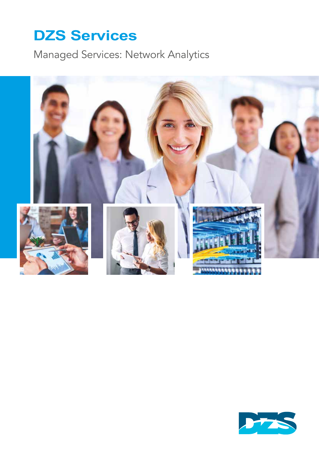Managed Services: Network Analytics



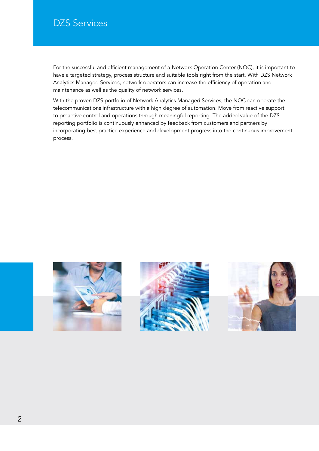For the successful and efficient management of a Network Operation Center (NOC), it is important to have a targeted strategy, process structure and suitable tools right from the start. With DZS Network Analytics Managed Services, network operators can increase the efficiency of operation and maintenance as well as the quality of network services.

With the proven DZS portfolio of Network Analytics Managed Services, the NOC can operate the telecommunications infrastructure with a high degree of automation. Move from reactive support to proactive control and operations through meaningful reporting. The added value of the DZS reporting portfolio is continuously enhanced by feedback from customers and partners by incorporating best practice experience and development progress into the continuous improvement process.





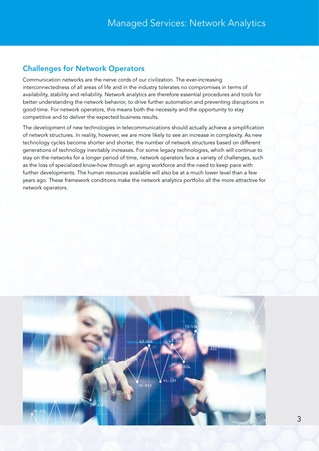## Challenges for Network Operators

Communication networks are the nerve cords of our civilization. The ever-increasing interconnectedness of all areas of life and in the industry tolerates no compromises in terms of availability, stability and reliability. Network analytics are therefore essential procedures and tools for better understanding the network behavior, to drive further automation and preventing disruptions in good time. For network operators, this means both the necessity and the opportunity to stay competitive and to deliver the expected business results.

The development of new technologies in telecommunications should actually achieve a simplification of network structures. In reality, however, we are more likely to see an increase in complexity. As new technology cycles become shorter and shorter, the number of network structures based on different generations of technology inevitably increases. For some legacy technologies, which will continue to stay on the networks for a longer period of time, network operators face a variety of challenges, such as the loss of specialized know-how through an aging workforce and the need to keep pace with further developments. The human resources available will also be at a much lower level than a few years ago. These framework conditions make the network analytics portfolio all the more attractive for network operators.

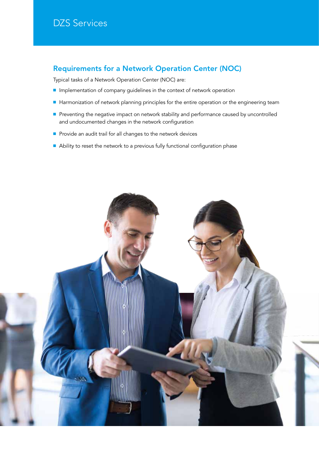### Requirements for a Network Operation Center (NOC)

Typical tasks of a Network Operation Center (NOC) are:

- Implementation of company guidelines in the context of network operation
- Harmonization of network planning principles for the entire operation or the engineering team
- Preventing the negative impact on network stability and performance caused by uncontrolled and undocumented changes in the network configuration
- Provide an audit trail for all changes to the network devices
- Ability to reset the network to a previous fully functional configuration phase

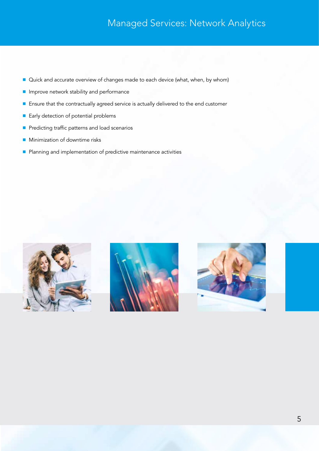## Managed Services: Network Analytics

- Quick and accurate overview of changes made to each device (what, when, by whom)
- Improve network stability and performance
- Ensure that the contractually agreed service is actually delivered to the end customer
- Early detection of potential problems
- Predicting traffic patterns and load scenarios
- Minimization of downtime risks
- Planning and implementation of predictive maintenance activities





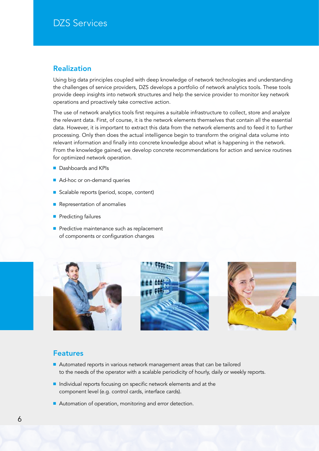### Realization

Using big data principles coupled with deep knowledge of network technologies and understanding the challenges of service providers, DZS develops a portfolio of network analytics tools. These tools provide deep insights into network structures and help the service provider to monitor key network operations and proactively take corrective action.

The use of network analytics tools first requires a suitable infrastructure to collect, store and analyze the relevant data. First, of course, it is the network elements themselves that contain all the essential data. However, it is important to extract this data from the network elements and to feed it to further processing. Only then does the actual intelligence begin to transform the original data volume into relevant information and finally into concrete knowledge about what is happening in the network. From the knowledge gained, we develop concrete recommendations for action and service routines for optimized network operation.

- Dashboards and KPIs
- Ad-hoc or on-demand queries
- Scalable reports (period, scope, content)
- Representation of anomalies
- Predicting failures
- Predictive maintenance such as replacement of components or configuration changes







#### Features

- Automated reports in various network management areas that can be tailored to the needs of the operator with a scalable periodicity of hourly, daily or weekly reports.
- Individual reports focusing on specific network elements and at the component level (e.g. control cards, interface cards).
- Automation of operation, monitoring and error detection.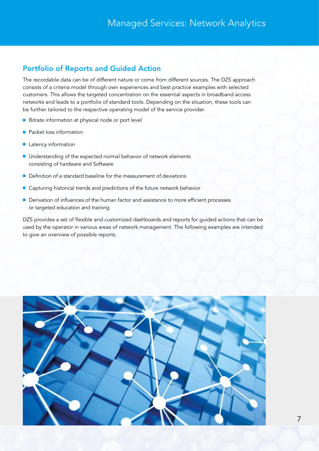## Portfolio of Reports and Guided Action

The recordable data can be of different nature or come from different sources. The DZS approach consists of a criteria model through own experiences and best practice examples with selected customers. This allows the targeted concentration on the essential aspects in broadband access networks and leads to a portfolio of standard tools. Depending on the situation, these tools can be further tailored to the respective operating model of the service provider.

- Bitrate information at physical node or port level
- Packet loss information
- Latency information
- Understanding of the expected normal behavior of network elements consisting of hardware and Software
- Definition of a standard baseline for the measurement of deviations
- Capturing historical trends and predictions of the future network behavior
- Derivation of influences of the human factor and assistance to more efficient processes or targeted education and training

DZS provides a set of flexible and customized dashboards and reports for guided actions that can be used by the operator in various areas of network management. The following examples are intended to give an overview of possible reports.

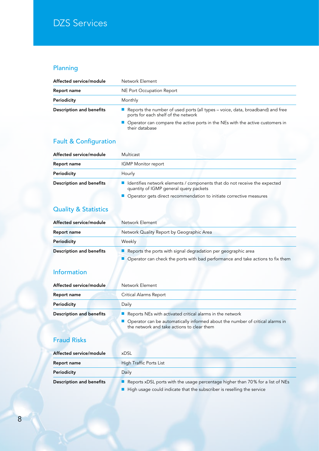## Planning

| Affected service/module         | Network Element                                                                                                       |
|---------------------------------|-----------------------------------------------------------------------------------------------------------------------|
| Report name                     | NE Port Occupation Report                                                                                             |
| Periodicity                     | Monthly                                                                                                               |
| <b>Description and benefits</b> | Reports the number of used ports (all types – voice, data, broadband) and free<br>ports for each shelf of the network |
|                                 | $\blacksquare$ Operator can compare the active perts in the NEe with the active quetemers in                          |

perator can compare the active ports in the NEs with the active customers in their database

## Fault & Configuration

| Affected service/module         | Multicast                                                                                                                                                                                    |
|---------------------------------|----------------------------------------------------------------------------------------------------------------------------------------------------------------------------------------------|
| Report name                     | <b>IGMP Monitor report</b>                                                                                                                                                                   |
| Periodicity                     | Hourly                                                                                                                                                                                       |
| <b>Description and benefits</b> | Identifies network elements / components that do not receive the expected<br>quantity of IGMP general query packets<br>• Operator gets direct recommendation to initiate corrective measures |

## Quality & Statistics

| Affected service/module         | Network Element                                                                                                                                   |
|---------------------------------|---------------------------------------------------------------------------------------------------------------------------------------------------|
| Report name                     | Network Quality Report by Geographic Area                                                                                                         |
| Periodicity                     | Weekly                                                                                                                                            |
| <b>Description and benefits</b> | Reports the ports with signal degradation per geographic area<br>■ Operator can check the ports with bad performance and take actions to fix them |

### Information

| Affected service/module         | Network Element                                                                 |
|---------------------------------|---------------------------------------------------------------------------------|
| Report name                     | Critical Alarms Report                                                          |
| Periodicity                     | Daily                                                                           |
| <b>Description and benefits</b> | $\blacksquare$ Reports NEs with activated critical alarms in the network        |
|                                 | ■ Operator can be automatically informed about the number of critical alarms in |

the network and take actions to clear them

## Fraud Risks

| Affected service/module         | <b>xDSL</b>                                                                                                                                              |
|---------------------------------|----------------------------------------------------------------------------------------------------------------------------------------------------------|
| Report name                     | High Traffic Ports List                                                                                                                                  |
| Periodicity                     | Daily                                                                                                                                                    |
| <b>Description and benefits</b> | Reports xDSL ports with the usage percentage higher than 70% for a list of NEs<br>High usage could indicate that the subscriber is reselling the service |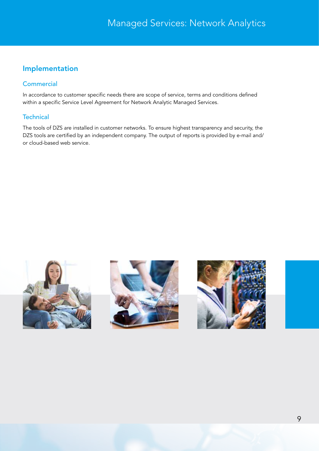## Implementation

#### **Commercial**

In accordance to customer specific needs there are scope of service, terms and conditions defined within a specific Service Level Agreement for Network Analytic Managed Services.

#### **Technical**

The tools of DZS are installed in customer networks. To ensure highest transparency and security, the DZS tools are certified by an independent company. The output of reports is provided by e-mail and/ or cloud-based web service.





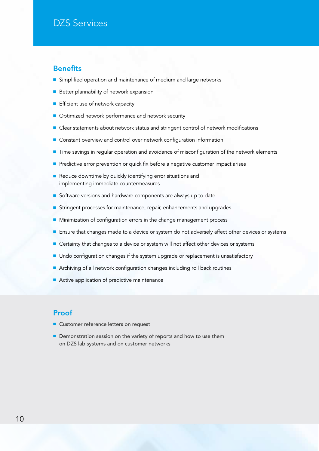#### **Benefits**

- Simplified operation and maintenance of medium and large networks
- Better plannability of network expansion
- Efficient use of network capacity
- Optimized network performance and network security
- Clear statements about network status and stringent control of network modifications
- Constant overview and control over network configuration information
- Time savings in regular operation and avoidance of misconfiguration of the network elements
- Predictive error prevention or quick fix before a negative customer impact arises
- Reduce downtime by quickly identifying error situations and implementing immediate countermeasures
- Software versions and hardware components are always up to date
- Stringent processes for maintenance, repair, enhancements and upgrades
- Minimization of configuration errors in the change management process
- Ensure that changes made to a device or system do not adversely affect other devices or systems
- Certainty that changes to a device or system will not affect other devices or systems
- Undo configuration changes if the system upgrade or replacement is unsatisfactory
- Archiving of all network configuration changes including roll back routines
- Active application of predictive maintenance

#### Proof

- Customer reference letters on request
- Demonstration session on the variety of reports and how to use them on DZS lab systems and on customer networks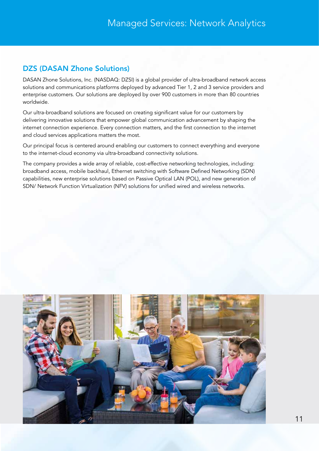## DZS (DASAN Zhone Solutions)

DASAN Zhone Solutions, Inc. (NASDAQ: DZSI) is a global provider of ultra-broadband network access solutions and communications platforms deployed by advanced Tier 1, 2 and 3 service providers and enterprise customers. Our solutions are deployed by over 900 customers in more than 80 countries worldwide.

Our ultra-broadband solutions are focused on creating significant value for our customers by delivering innovative solutions that empower global communication advancement by shaping the internet connection experience. Every connection matters, and the first connection to the internet and cloud services applications matters the most.

Our principal focus is centered around enabling our customers to connect everything and everyone to the internet-cloud economy via ultra-broadband connectivity solutions.

The company provides a wide array of reliable, cost-effective networking technologies, including: broadband access, mobile backhaul, Ethernet switching with Software Defined Networking (SDN) capabilities, new enterprise solutions based on Passive Optical LAN (POL), and new generation of SDN/ Network Function Virtualization (NFV) solutions for unified wired and wireless networks.